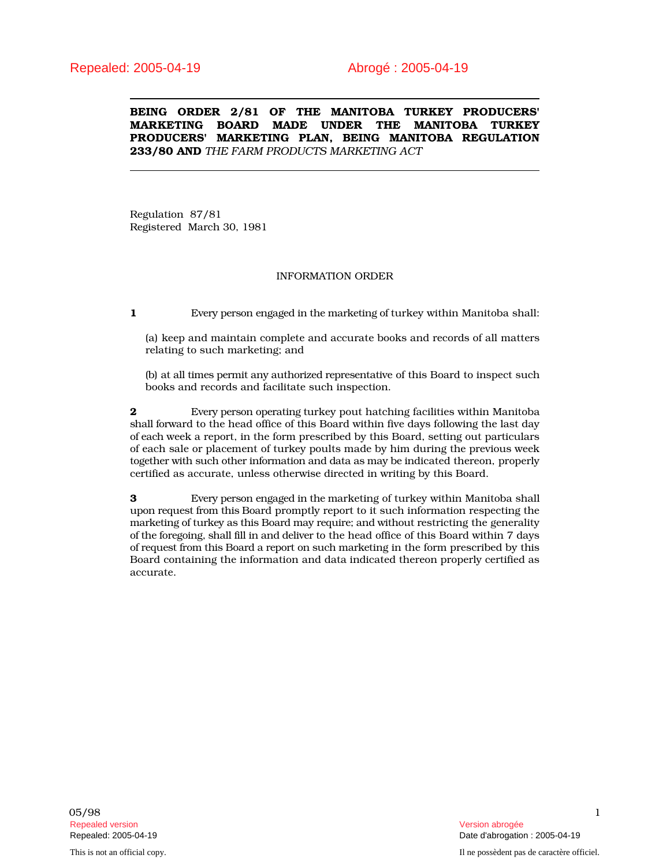BEING ORDER 2/81 OF THE MANITOBA TURKEY PRODUCERS' MARKETING BOARD MADE UNDER THE MANITOBA TURKEY PRODUCERS' MARKETING PLAN, BEING MANITOBA REGULATION 233/80 AND *THE FARM PRODUCTS MARKETING ACT*

Regulation 87/81 Registered March 30, 1981

## INFORMATION ORDER

1 Every person engaged in the marketing of turkey within Manitoba shall:

(a) keep and maintain complete and accurate books and records of all matters relating to such marketing; and

(b) at all times permit any authorized representative of this Board to inspect such books and records and facilitate such inspection.

**2** Every person operating turkey pout hatching facilities within Manitoba shall forward to the head office of this Board within five days following the last day of each week a report, in the form prescribed by this Board, setting out particulars of each sale or placement of turkey poults made by him during the previous week together with such other information and data as may be indicated thereon, properly certified as accurate, unless otherwise directed in writing by this Board.

3 Every person engaged in the marketing of turkey within Manitoba shall upon request from this Board promptly report to it such information respecting the marketing of turkey as this Board may require; and without restricting the generality of the foregoing, shall fill in and deliver to the head office of this Board within 7 days of request from this Board a report on such marketing in the form prescribed by this Board containing the information and data indicated thereon properly certified as accurate.

05/98 1 Repealed version (Particular School of Technologie abrogée abrogée abrogée abrogée abrogée abrogée abrogée abr<br>Repealed: 2005-04-19 (Particular School of Technologie abrogée abrogée abrogée abrogée abrogée abrogée abrogée

This is not an official copy. Il ne possèdent pas de caractère officiel.